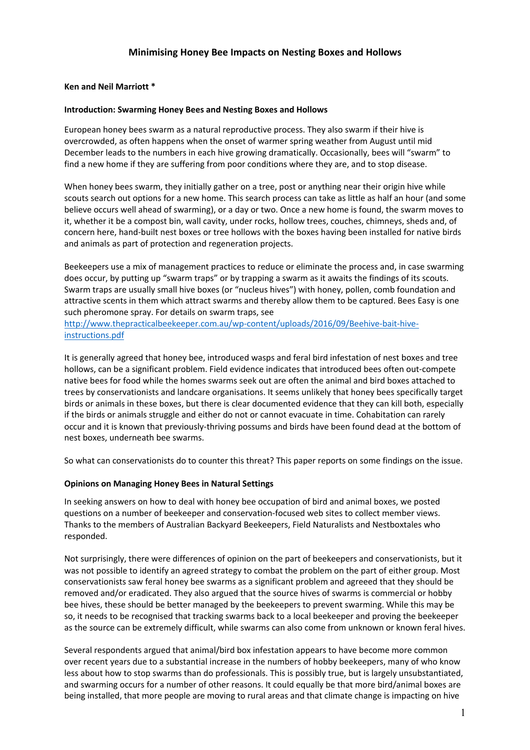# **Minimising Honey Bee Impacts on Nesting Boxes and Hollows**

#### **Ken and Neil Marriott \***

#### **Introduction: Swarming Honey Bees and Nesting Boxes and Hollows**

European honey bees swarm as a natural reproductive process. They also swarm if their hive is overcrowded, as often happens when the onset of warmer spring weather from August until mid December leads to the numbers in each hive growing dramatically. Occasionally, bees will "swarm" to find a new home if they are suffering from poor conditions where they are, and to stop disease.

When honey bees swarm, they initially gather on a tree, post or anything near their origin hive while scouts search out options for a new home. This search process can take as little as half an hour (and some believe occurs well ahead of swarming), or a day or two. Once a new home is found, the swarm moves to it, whether it be a compost bin, wall cavity, under rocks, hollow trees, couches, chimneys, sheds and, of concern here, hand-built nest boxes or tree hollows with the boxes having been installed for native birds and animals as part of protection and regeneration projects.

Beekeepers use a mix of management practices to reduce or eliminate the process and, in case swarming does occur, by putting up "swarm traps" or by trapping a swarm as it awaits the findings of its scouts. Swarm traps are usually small hive boxes (or "nucleus hives") with honey, pollen, comb foundation and attractive scents in them which attract swarms and thereby allow them to be captured. Bees Easy is one such pheromone spray. For details on swarm traps, see

http://www.thepracticalbeekeeper.com.au/wp-content/uploads/2016/09/Beehive-bait-hiveinstructions.pdf

It is generally agreed that honey bee, introduced wasps and feral bird infestation of nest boxes and tree hollows, can be a significant problem. Field evidence indicates that introduced bees often out-compete native bees for food while the homes swarms seek out are often the animal and bird boxes attached to trees by conservationists and landcare organisations. It seems unlikely that honey bees specifically target birds or animals in these boxes, but there is clear documented evidence that they can kill both, especially if the birds or animals struggle and either do not or cannot evacuate in time. Cohabitation can rarely occur and it is known that previously-thriving possums and birds have been found dead at the bottom of nest boxes, underneath bee swarms.

So what can conservationists do to counter this threat? This paper reports on some findings on the issue.

## **Opinions on Managing Honey Bees in Natural Settings**

In seeking answers on how to deal with honey bee occupation of bird and animal boxes, we posted questions on a number of beekeeper and conservation-focused web sites to collect member views. Thanks to the members of Australian Backyard Beekeepers, Field Naturalists and Nestboxtales who responded.

Not surprisingly, there were differences of opinion on the part of beekeepers and conservationists, but it was not possible to identify an agreed strategy to combat the problem on the part of either group. Most conservationists saw feral honey bee swarms as a significant problem and agreeed that they should be removed and/or eradicated. They also argued that the source hives of swarms is commercial or hobby bee hives, these should be better managed by the beekeepers to prevent swarming. While this may be so, it needs to be recognised that tracking swarms back to a local beekeeper and proving the beekeeper as the source can be extremely difficult, while swarms can also come from unknown or known feral hives.

Several respondents argued that animal/bird box infestation appears to have become more common over recent years due to a substantial increase in the numbers of hobby beekeepers, many of who know less about how to stop swarms than do professionals. This is possibly true, but is largely unsubstantiated, and swarming occurs for a number of other reasons. It could equally be that more bird/animal boxes are being installed, that more people are moving to rural areas and that climate change is impacting on hive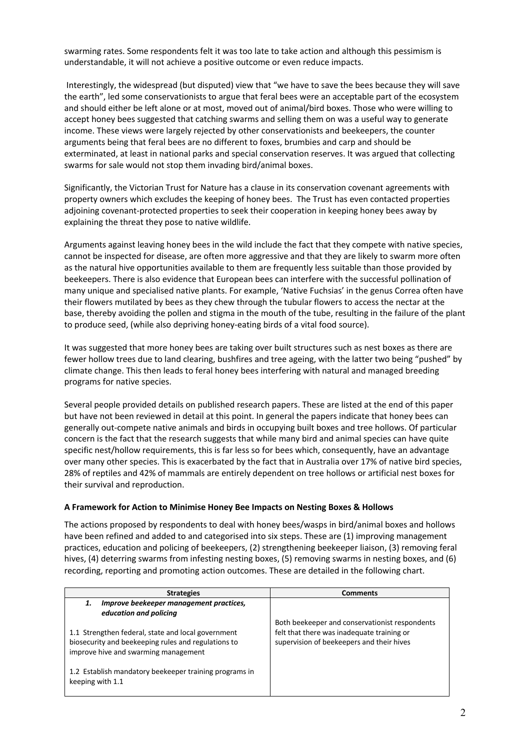swarming rates. Some respondents felt it was too late to take action and although this pessimism is understandable, it will not achieve a positive outcome or even reduce impacts.

Interestingly, the widespread (but disputed) view that "we have to save the bees because they will save the earth", led some conservationists to argue that feral bees were an acceptable part of the ecosystem and should either be left alone or at most, moved out of animal/bird boxes. Those who were willing to accept honey bees suggested that catching swarms and selling them on was a useful way to generate income. These views were largely rejected by other conservationists and beekeepers, the counter arguments being that feral bees are no different to foxes, brumbies and carp and should be exterminated, at least in national parks and special conservation reserves. It was argued that collecting swarms for sale would not stop them invading bird/animal boxes.

Significantly, the Victorian Trust for Nature has a clause in its conservation covenant agreements with property owners which excludes the keeping of honey bees. The Trust has even contacted properties adjoining covenant-protected properties to seek their cooperation in keeping honey bees away by explaining the threat they pose to native wildlife.

Arguments against leaving honey bees in the wild include the fact that they compete with native species, cannot be inspected for disease, are often more aggressive and that they are likely to swarm more often as the natural hive opportunities available to them are frequently less suitable than those provided by beekeepers. There is also evidence that European bees can interfere with the successful pollination of many unique and specialised native plants. For example, 'Native Fuchsias' in the genus Correa often have their flowers mutilated by bees as they chew through the tubular flowers to access the nectar at the base, thereby avoiding the pollen and stigma in the mouth of the tube, resulting in the failure of the plant to produce seed, (while also depriving honey-eating birds of a vital food source).

It was suggested that more honey bees are taking over built structures such as nest boxes as there are fewer hollow trees due to land clearing, bushfires and tree ageing, with the latter two being "pushed" by climate change. This then leads to feral honey bees interfering with natural and managed breeding programs for native species.

Several people provided details on published research papers. These are listed at the end of this paper but have not been reviewed in detail at this point. In general the papers indicate that honey bees can generally out-compete native animals and birds in occupying built boxes and tree hollows. Of particular concern is the fact that the research suggests that while many bird and animal species can have quite specific nest/hollow requirements, this is far less so for bees which, consequently, have an advantage over many other species. This is exacerbated by the fact that in Australia over 17% of native bird species, 28% of reptiles and 42% of mammals are entirely dependent on tree hollows or artificial nest boxes for their survival and reproduction.

## **A Framework for Action to Minimise Honey Bee Impacts on Nesting Boxes & Hollows**

The actions proposed by respondents to deal with honey bees/wasps in bird/animal boxes and hollows have been refined and added to and categorised into six steps. These are (1) improving management practices, education and policing of beekeepers, (2) strengthening beekeeper liaison, (3) removing feral hives, (4) deterring swarms from infesting nesting boxes, (5) removing swarms in nesting boxes, and (6) recording, reporting and promoting action outcomes. These are detailed in the following chart.

| <b>Strategies</b>                                                                                                                                 | <b>Comments</b>                                                                                                                           |
|---------------------------------------------------------------------------------------------------------------------------------------------------|-------------------------------------------------------------------------------------------------------------------------------------------|
| Improve beekeeper management practices,<br>1.<br>education and policing                                                                           |                                                                                                                                           |
| 1.1 Strengthen federal, state and local government<br>biosecurity and beekeeping rules and regulations to<br>improve hive and swarming management | Both beekeeper and conservationist respondents<br>felt that there was inadequate training or<br>supervision of beekeepers and their hives |
| 1.2 Establish mandatory beekeeper training programs in<br>keeping with 1.1                                                                        |                                                                                                                                           |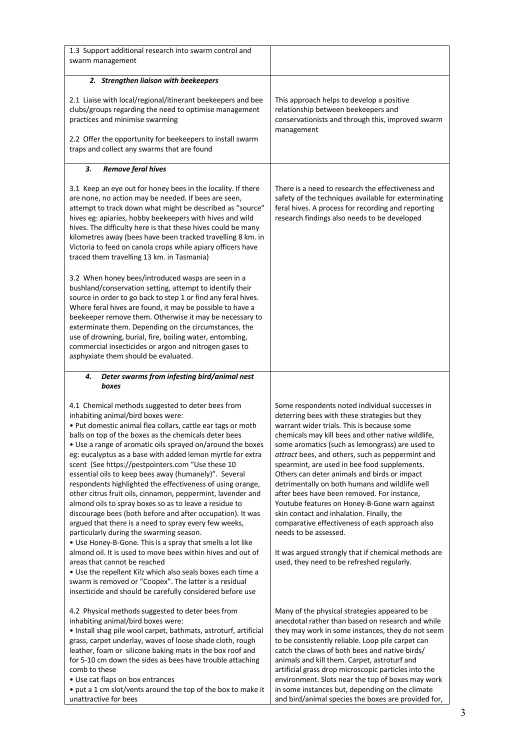| 1.3 Support additional research into swarm control and<br>swarm management                                                                                                                                                                                                                                                                                                                                                                                                                                                                                                                                                                                                                                                                                                                                                                                                                                                                                                                                                                                                                                                                                             |                                                                                                                                                                                                                                                                                                                                                                                                                                                                                                                                                                                                                                                                                                                                                                                            |
|------------------------------------------------------------------------------------------------------------------------------------------------------------------------------------------------------------------------------------------------------------------------------------------------------------------------------------------------------------------------------------------------------------------------------------------------------------------------------------------------------------------------------------------------------------------------------------------------------------------------------------------------------------------------------------------------------------------------------------------------------------------------------------------------------------------------------------------------------------------------------------------------------------------------------------------------------------------------------------------------------------------------------------------------------------------------------------------------------------------------------------------------------------------------|--------------------------------------------------------------------------------------------------------------------------------------------------------------------------------------------------------------------------------------------------------------------------------------------------------------------------------------------------------------------------------------------------------------------------------------------------------------------------------------------------------------------------------------------------------------------------------------------------------------------------------------------------------------------------------------------------------------------------------------------------------------------------------------------|
| 2. Strengthen liaison with beekeepers                                                                                                                                                                                                                                                                                                                                                                                                                                                                                                                                                                                                                                                                                                                                                                                                                                                                                                                                                                                                                                                                                                                                  |                                                                                                                                                                                                                                                                                                                                                                                                                                                                                                                                                                                                                                                                                                                                                                                            |
| 2.1 Liaise with local/regional/itinerant beekeepers and bee<br>clubs/groups regarding the need to optimise management<br>practices and minimise swarming<br>2.2 Offer the opportunity for beekeepers to install swarm<br>traps and collect any swarms that are found                                                                                                                                                                                                                                                                                                                                                                                                                                                                                                                                                                                                                                                                                                                                                                                                                                                                                                   | This approach helps to develop a positive<br>relationship between beekeepers and<br>conservationists and through this, improved swarm<br>management                                                                                                                                                                                                                                                                                                                                                                                                                                                                                                                                                                                                                                        |
| 3.<br><b>Remove feral hives</b>                                                                                                                                                                                                                                                                                                                                                                                                                                                                                                                                                                                                                                                                                                                                                                                                                                                                                                                                                                                                                                                                                                                                        |                                                                                                                                                                                                                                                                                                                                                                                                                                                                                                                                                                                                                                                                                                                                                                                            |
| 3.1 Keep an eye out for honey bees in the locality. If there<br>are none, no action may be needed. If bees are seen,<br>attempt to track down what might be described as "source"<br>hives eg: apiaries, hobby beekeepers with hives and wild<br>hives. The difficulty here is that these hives could be many<br>kilometres away (bees have been tracked travelling 8 km. in<br>Victoria to feed on canola crops while apiary officers have<br>traced them travelling 13 km. in Tasmania)                                                                                                                                                                                                                                                                                                                                                                                                                                                                                                                                                                                                                                                                              | There is a need to research the effectiveness and<br>safety of the techniques available for exterminating<br>feral hives. A process for recording and reporting<br>research findings also needs to be developed                                                                                                                                                                                                                                                                                                                                                                                                                                                                                                                                                                            |
| 3.2 When honey bees/introduced wasps are seen in a<br>bushland/conservation setting, attempt to identify their<br>source in order to go back to step 1 or find any feral hives.<br>Where feral hives are found, it may be possible to have a<br>beekeeper remove them. Otherwise it may be necessary to<br>exterminate them. Depending on the circumstances, the<br>use of drowning, burial, fire, boiling water, entombing,<br>commercial insecticides or argon and nitrogen gases to<br>asphyxiate them should be evaluated.                                                                                                                                                                                                                                                                                                                                                                                                                                                                                                                                                                                                                                         |                                                                                                                                                                                                                                                                                                                                                                                                                                                                                                                                                                                                                                                                                                                                                                                            |
| Deter swarms from infesting bird/animal nest<br>4.<br>boxes                                                                                                                                                                                                                                                                                                                                                                                                                                                                                                                                                                                                                                                                                                                                                                                                                                                                                                                                                                                                                                                                                                            |                                                                                                                                                                                                                                                                                                                                                                                                                                                                                                                                                                                                                                                                                                                                                                                            |
| 4.1 Chemical methods suggested to deter bees from<br>inhabiting animal/bird boxes were:<br>. Put domestic animal flea collars, cattle ear tags or moth<br>balls on top of the boxes as the chemicals deter bees<br>• Use a range of aromatic oils sprayed on/around the boxes<br>eg: eucalyptus as a base with added lemon myrtle for extra<br>scent (See https://pestpointers.com "Use these 10<br>essential oils to keep bees away (humanely)". Several<br>respondents highlighted the effectiveness of using orange,<br>other citrus fruit oils, cinnamon, peppermint, lavender and<br>almond oils to spray boxes so as to leave a residue to<br>discourage bees (both before and after occupation). It was<br>argued that there is a need to spray every few weeks,<br>particularly during the swarming season.<br>• Use Honey-B-Gone. This is a spray that smells a lot like<br>almond oil. It is used to move bees within hives and out of<br>areas that cannot be reached<br>. Use the repellent Kilz which also seals boxes each time a<br>swarm is removed or "Coopex". The latter is a residual<br>insecticide and should be carefully considered before use | Some respondents noted individual successes in<br>deterring bees with these strategies but they<br>warrant wider trials. This is because some<br>chemicals may kill bees and other native wildlife,<br>some aromatics (such as lemongrass) are used to<br>attract bees, and others, such as peppermint and<br>spearmint, are used in bee food supplements.<br>Others can deter animals and birds or impact<br>detrimentally on both humans and wildlife well<br>after bees have been removed. For instance,<br>Youtube features on Honey-B-Gone warn against<br>skin contact and inhalation. Finally, the<br>comparative effectiveness of each approach also<br>needs to be assessed.<br>It was argued strongly that if chemical methods are<br>used, they need to be refreshed regularly. |
| 4.2 Physical methods suggested to deter bees from<br>inhabiting animal/bird boxes were:<br>· Install shag pile wool carpet, bathmats, astroturf, artificial<br>grass, carpet underlay, waves of loose shade cloth, rough<br>leather, foam or silicone baking mats in the box roof and<br>for 5-10 cm down the sides as bees have trouble attaching<br>comb to these<br>• Use cat flaps on box entrances<br>• put a 1 cm slot/vents around the top of the box to make it<br>unattractive for bees                                                                                                                                                                                                                                                                                                                                                                                                                                                                                                                                                                                                                                                                       | Many of the physical strategies appeared to be<br>anecdotal rather than based on research and while<br>they may work in some instances, they do not seem<br>to be consistently reliable. Loop pile carpet can<br>catch the claws of both bees and native birds/<br>animals and kill them. Carpet, astroturf and<br>artificial grass drop microscopic particles into the<br>environment. Slots near the top of boxes may work<br>in some instances but, depending on the climate<br>and bird/animal species the boxes are provided for,                                                                                                                                                                                                                                                     |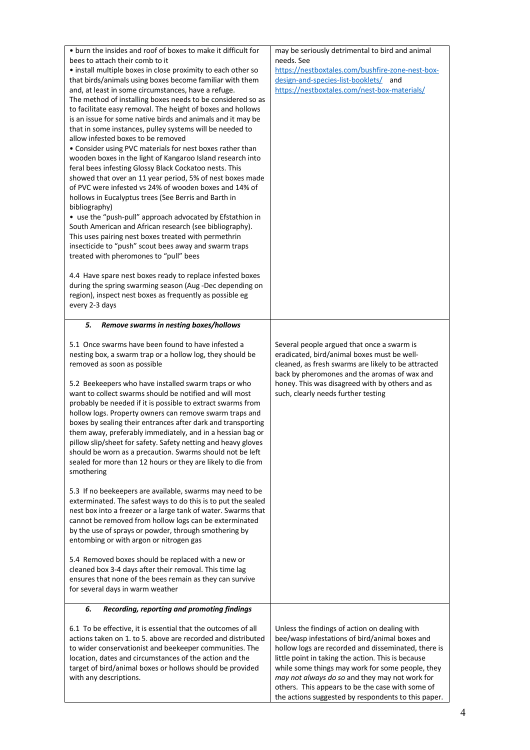| • burn the insides and roof of boxes to make it difficult for<br>bees to attach their comb to it<br>• install multiple boxes in close proximity to each other so<br>that birds/animals using boxes become familiar with them<br>and, at least in some circumstances, have a refuge.<br>The method of installing boxes needs to be considered so as<br>to facilitate easy removal. The height of boxes and hollows<br>is an issue for some native birds and animals and it may be<br>that in some instances, pulley systems will be needed to<br>allow infested boxes to be removed<br>• Consider using PVC materials for nest boxes rather than<br>wooden boxes in the light of Kangaroo Island research into<br>feral bees infesting Glossy Black Cockatoo nests. This<br>showed that over an 11 year period, 5% of nest boxes made<br>of PVC were infested vs 24% of wooden boxes and 14% of<br>hollows in Eucalyptus trees (See Berris and Barth in<br>bibliography)<br>• use the "push-pull" approach advocated by Efstathion in<br>South American and African research (see bibliography).<br>This uses pairing nest boxes treated with permethrin<br>insecticide to "push" scout bees away and swarm traps<br>treated with pheromones to "pull" bees | may be seriously detrimental to bird and animal<br>needs. See<br>https://nestboxtales.com/bushfire-zone-nest-box-<br>design-and-species-list-booklets/ and<br>https://nestboxtales.com/nest-box-materials/                                                                                                                                                                                                                    |
|------------------------------------------------------------------------------------------------------------------------------------------------------------------------------------------------------------------------------------------------------------------------------------------------------------------------------------------------------------------------------------------------------------------------------------------------------------------------------------------------------------------------------------------------------------------------------------------------------------------------------------------------------------------------------------------------------------------------------------------------------------------------------------------------------------------------------------------------------------------------------------------------------------------------------------------------------------------------------------------------------------------------------------------------------------------------------------------------------------------------------------------------------------------------------------------------------------------------------------------------------------|-------------------------------------------------------------------------------------------------------------------------------------------------------------------------------------------------------------------------------------------------------------------------------------------------------------------------------------------------------------------------------------------------------------------------------|
| 4.4 Have spare nest boxes ready to replace infested boxes<br>during the spring swarming season (Aug-Dec depending on<br>region), inspect nest boxes as frequently as possible eg<br>every 2-3 days                                                                                                                                                                                                                                                                                                                                                                                                                                                                                                                                                                                                                                                                                                                                                                                                                                                                                                                                                                                                                                                         |                                                                                                                                                                                                                                                                                                                                                                                                                               |
| Remove swarms in nesting boxes/hollows<br>5.                                                                                                                                                                                                                                                                                                                                                                                                                                                                                                                                                                                                                                                                                                                                                                                                                                                                                                                                                                                                                                                                                                                                                                                                               |                                                                                                                                                                                                                                                                                                                                                                                                                               |
| 5.1 Once swarms have been found to have infested a<br>nesting box, a swarm trap or a hollow log, they should be<br>removed as soon as possible<br>5.2 Beekeepers who have installed swarm traps or who<br>want to collect swarms should be notified and will most<br>probably be needed if it is possible to extract swarms from<br>hollow logs. Property owners can remove swarm traps and<br>boxes by sealing their entrances after dark and transporting<br>them away, preferably immediately, and in a hessian bag or<br>pillow slip/sheet for safety. Safety netting and heavy gloves<br>should be worn as a precaution. Swarms should not be left<br>sealed for more than 12 hours or they are likely to die from<br>smothering<br>5.3 If no beekeepers are available, swarms may need to be<br>exterminated. The safest ways to do this is to put the sealed<br>nest box into a freezer or a large tank of water. Swarms that<br>cannot be removed from hollow logs can be exterminated<br>by the use of sprays or powder, through smothering by                                                                                                                                                                                                    | Several people argued that once a swarm is<br>eradicated, bird/animal boxes must be well-<br>cleaned, as fresh swarms are likely to be attracted<br>back by pheromones and the aromas of wax and<br>honey. This was disagreed with by others and as<br>such, clearly needs further testing                                                                                                                                    |
| entombing or with argon or nitrogen gas<br>5.4 Removed boxes should be replaced with a new or<br>cleaned box 3-4 days after their removal. This time lag<br>ensures that none of the bees remain as they can survive<br>for several days in warm weather                                                                                                                                                                                                                                                                                                                                                                                                                                                                                                                                                                                                                                                                                                                                                                                                                                                                                                                                                                                                   |                                                                                                                                                                                                                                                                                                                                                                                                                               |
| 6.<br>Recording, reporting and promoting findings                                                                                                                                                                                                                                                                                                                                                                                                                                                                                                                                                                                                                                                                                                                                                                                                                                                                                                                                                                                                                                                                                                                                                                                                          |                                                                                                                                                                                                                                                                                                                                                                                                                               |
| 6.1 To be effective, it is essential that the outcomes of all<br>actions taken on 1. to 5. above are recorded and distributed<br>to wider conservationist and beekeeper communities. The<br>location, dates and circumstances of the action and the<br>target of bird/animal boxes or hollows should be provided<br>with any descriptions.                                                                                                                                                                                                                                                                                                                                                                                                                                                                                                                                                                                                                                                                                                                                                                                                                                                                                                                 | Unless the findings of action on dealing with<br>bee/wasp infestations of bird/animal boxes and<br>hollow logs are recorded and disseminated, there is<br>little point in taking the action. This is because<br>while some things may work for some people, they<br>may not always do so and they may not work for<br>others. This appears to be the case with some of<br>the actions suggested by respondents to this paper. |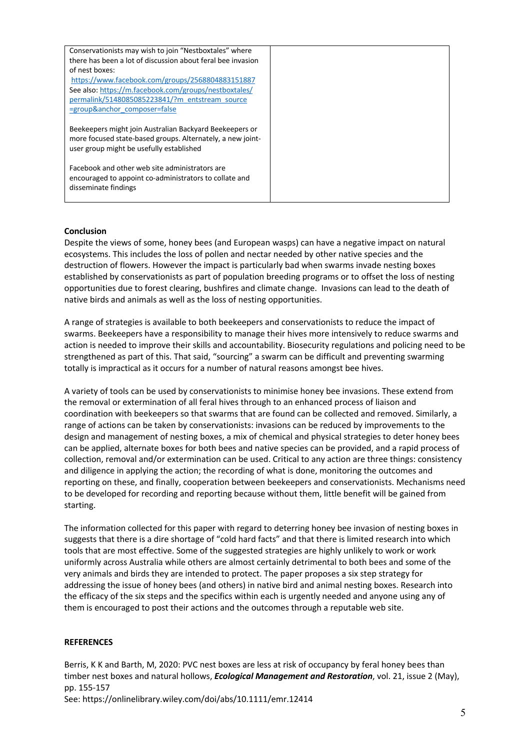| Conservationists may wish to join "Nestboxtales" where      |  |
|-------------------------------------------------------------|--|
| there has been a lot of discussion about feral bee invasion |  |
| of nest boxes:                                              |  |
| https://www.facebook.com/groups/2568804883151887            |  |
| See also: https://m.facebook.com/groups/nestboxtales/       |  |
| permalink/5148085085223841/?m entstream source              |  |
| =group&anchor composer=false                                |  |
|                                                             |  |
| Beekeepers might join Australian Backyard Beekeepers or     |  |
| more focused state-based groups. Alternately, a new joint-  |  |
| user group might be usefully established                    |  |
|                                                             |  |
| Facebook and other web site administrators are              |  |
| encouraged to appoint co-administrators to collate and      |  |
| disseminate findings                                        |  |
|                                                             |  |

#### **Conclusion**

Despite the views of some, honey bees (and European wasps) can have a negative impact on natural ecosystems. This includes the loss of pollen and nectar needed by other native species and the destruction of flowers. However the impact is particularly bad when swarms invade nesting boxes established by conservationists as part of population breeding programs or to offset the loss of nesting opportunities due to forest clearing, bushfires and climate change. Invasions can lead to the death of native birds and animals as well as the loss of nesting opportunities.

A range of strategies is available to both beekeepers and conservationists to reduce the impact of swarms. Beekeepers have a responsibility to manage their hives more intensively to reduce swarms and action is needed to improve their skills and accountability. Biosecurity regulations and policing need to be strengthened as part of this. That said, "sourcing" a swarm can be difficult and preventing swarming totally is impractical as it occurs for a number of natural reasons amongst bee hives.

A variety of tools can be used by conservationists to minimise honey bee invasions. These extend from the removal or extermination of all feral hives through to an enhanced process of liaison and coordination with beekeepers so that swarms that are found can be collected and removed. Similarly, a range of actions can be taken by conservationists: invasions can be reduced by improvements to the design and management of nesting boxes, a mix of chemical and physical strategies to deter honey bees can be applied, alternate boxes for both bees and native species can be provided, and a rapid process of collection, removal and/or extermination can be used. Critical to any action are three things: consistency and diligence in applying the action; the recording of what is done, monitoring the outcomes and reporting on these, and finally, cooperation between beekeepers and conservationists. Mechanisms need to be developed for recording and reporting because without them, little benefit will be gained from starting.

The information collected for this paper with regard to deterring honey bee invasion of nesting boxes in suggests that there is a dire shortage of "cold hard facts" and that there is limited research into which tools that are most effective. Some of the suggested strategies are highly unlikely to work or work uniformly across Australia while others are almost certainly detrimental to both bees and some of the very animals and birds they are intended to protect. The paper proposes a six step strategy for addressing the issue of honey bees (and others) in native bird and animal nesting boxes. Research into the efficacy of the six steps and the specifics within each is urgently needed and anyone using any of them is encouraged to post their actions and the outcomes through a reputable web site.

## **REFERENCES**

Berris, K K and Barth, M, 2020: PVC nest boxes are less at risk of occupancy by feral honey bees than timber nest boxes and natural hollows, *Ecological Management and Restoration*, vol. 21, issue 2 (May), pp. 155-157 See: https://onlinelibrary.wiley.com/doi/abs/10.1111/emr.12414